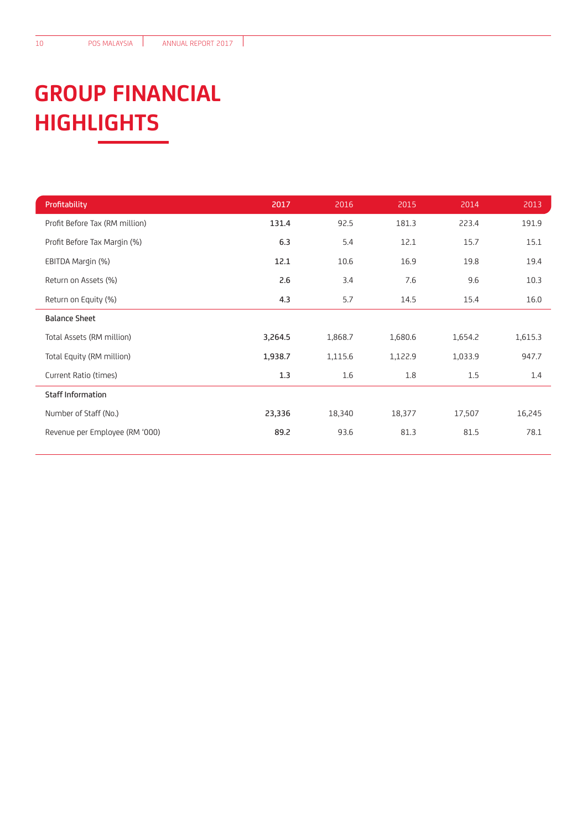## **GROUP FINANCIAL HIGHLIGHTS**

| Profitability                  | 2017    | 2016    | 2015    | 2014    | 2013    |
|--------------------------------|---------|---------|---------|---------|---------|
| Profit Before Tax (RM million) | 131.4   | 92.5    | 181.3   | 223.4   | 191.9   |
| Profit Before Tax Margin (%)   | 6.3     | 5.4     | 12.1    | 15.7    | 15.1    |
| EBITDA Margin (%)              | 12.1    | 10.6    | 16.9    | 19.8    | 19.4    |
| Return on Assets (%)           | 2.6     | 3.4     | 7.6     | 9.6     | 10.3    |
| Return on Equity (%)           | 4.3     | 5.7     | 14.5    | 15.4    | 16.0    |
| <b>Balance Sheet</b>           |         |         |         |         |         |
| Total Assets (RM million)      | 3,264.5 | 1,868.7 | 1,680.6 | 1,654.2 | 1,615.3 |
| Total Equity (RM million)      | 1,938.7 | 1,115.6 | 1,122.9 | 1,033.9 | 947.7   |
| Current Ratio (times)          | 1.3     | 1.6     | 1.8     | 1.5     | 1.4     |
| <b>Staff Information</b>       |         |         |         |         |         |
| Number of Staff (No.)          | 23,336  | 18,340  | 18,377  | 17,507  | 16,245  |
| Revenue per Employee (RM '000) | 89.2    | 93.6    | 81.3    | 81.5    | 78.1    |